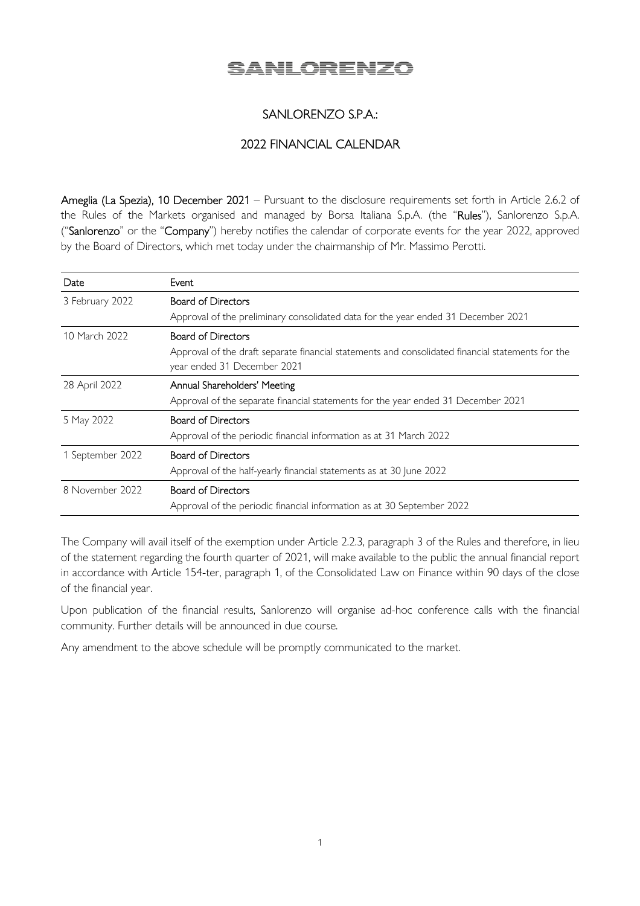# **SANLORENZO**

## SANLORENZO S.P.A.:

## 2022 FINANCIAL CALENDAR

Ameglia (La Spezia), 10 December 2021 – Pursuant to the disclosure requirements set forth in Article 2.6.2 of the Rules of the Markets organised and managed by Borsa Italiana S.p.A. (the "Rules"), Sanlorenzo S.p.A. ("Sanlorenzo" or the "Company") hereby notifies the calendar of corporate events for the year 2022, approved by the Board of Directors, which met today under the chairmanship of Mr. Massimo Perotti.

| Date             | Event                                                                                                                            |
|------------------|----------------------------------------------------------------------------------------------------------------------------------|
| 3 February 2022  | <b>Board of Directors</b>                                                                                                        |
|                  | Approval of the preliminary consolidated data for the year ended 31 December 2021                                                |
| 10 March 2022    | <b>Board of Directors</b>                                                                                                        |
|                  | Approval of the draft separate financial statements and consolidated financial statements for the<br>year ended 31 December 2021 |
| 28 April 2022    | Annual Shareholders' Meeting                                                                                                     |
|                  | Approval of the separate financial statements for the year ended 31 December 2021                                                |
| 5 May 2022       | <b>Board of Directors</b>                                                                                                        |
|                  | Approval of the periodic financial information as at 31 March 2022                                                               |
| 1 September 2022 | <b>Board of Directors</b>                                                                                                        |
|                  | Approval of the half-yearly financial statements as at 30 June 2022                                                              |
| 8 November 2022  | <b>Board of Directors</b>                                                                                                        |
|                  | Approval of the periodic financial information as at 30 September 2022                                                           |

The Company will avail itself of the exemption under Article 2.2.3, paragraph 3 of the Rules and therefore, in lieu of the statement regarding the fourth quarter of 2021, will make available to the public the annual financial report in accordance with Article 154-ter, paragraph 1, of the Consolidated Law on Finance within 90 days of the close of the financial year.

Upon publication of the financial results, Sanlorenzo will organise ad-hoc conference calls with the financial community. Further details will be announced in due course.

Any amendment to the above schedule will be promptly communicated to the market.